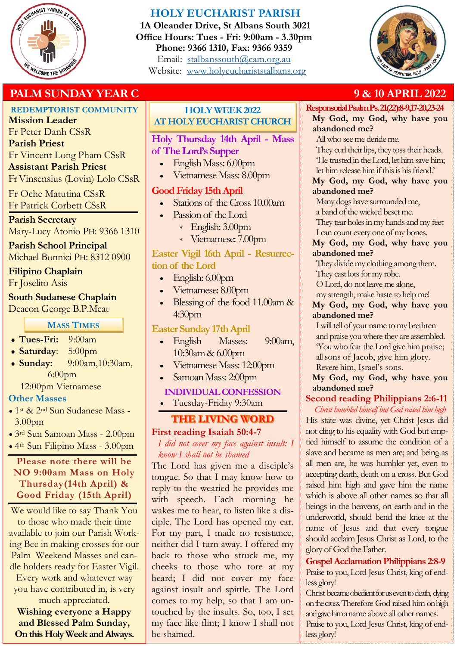

# **HOLY EUCHARIST PARISH**

**1A Oleander Drive, St Albans South 3021 Office Hours: Tues - Fri: 9:00am - 3.30pm Phone: 9366 1310, Fax: 9366 9359** Email: [stalbanssouth@cam.org.au](mailto:stalbanssouth@cam.org.au) Website:[www.holyeuchariststalbans.org](http://www.holyeuchariststalbans.org)



# **PALM SUNDAY YEAR C** 8 8 9 **8 10 APRIL 2022**

# **REDEMPTORIST COMMUNITY**

**Mission Leader** Fr Peter Danh CSsR **Parish Priest** Fr Vincent Long Pham CSsR **Assistant Parish Priest** 

Fr Vinsensius (Lovin) Lolo CSsR

Fr Oche Matutina CSsR Fr Patrick Corbett CSsR

# **Parish Secretary**

Mary-Lucy Atonio PH: 9366 1310

# **Parish School Principal**

Michael Bonnici PH: 8312 0900

## **Filipino Chaplain**

Fr Joselito Asis

# **South Sudanese Chaplain**

Deacon George B.P.Meat

# **MASS TIMES**

- **Tues-Fri:** 9:00am
- **Saturday**: 5:00pm
- **Sunday:** 9:00am,10:30am, 6:00pm
	- 12:00pm Vietnamese

# **Other Masses**

- 1st & 2nd Sun Sudanese Mass 3.00pm
- 3rd Sun Samoan Mass 2.00pm
- 4th Sun Filipino Mass 3.00pm

# **Please note there will be NO 9:00am Mass on Holy Thursday(14th April) & Good Friday (15th April)**

We would like to say Thank You to those who made their time available to join our Parish Working Bee in making crosses for our Palm Weekend Masses and candle holders ready for Easter Vigil. Every work and whatever way you have contributed in, is very much appreciated.

**Wishing everyone a Happy and Blessed Palm Sunday, On this Holy Week and Always.** 

# **HOLY WEEK 2022 AT HOLY EUCHARIST CHURCH**

# **Holy Thursday 14th April - Mass of The Lord's Supper**

- English Mass: 6.00pm
- Vietnamese Mass: 8.00pm

# **Good Friday 15th April**

- Stations of the Cross 10.00am
	- Passion of the Lord
	- English: 3.00pm
		- Vietnamese: 7.00pm

# **Easter Vigil 16th April - Resurrection of the Lord**

- English: 6.00pm
- Vietnamese: 8.00pm
- Blessing of the food 11.00am & 4:30pm

# **Easter Sunday 17th April**

- English Masses: 9:00am, 10:30am & 6.00pm
- Vietnamese Mass: 12:00pm
- Samoan Mass: 2:00pm

## **INDIVIDUAL CONFESSION**

Tuesday-Friday 9:30am

# **THE LIVING WORD**

# **First reading Isaiah 50:4-7**

#### *I did not cover my face against insult: I know I shall not be shamed*

The Lord has given me a disciple's tongue. So that I may know how to reply to the wearied he provides me with speech. Each morning he wakes me to hear, to listen like a disciple. The Lord has opened my ear. For my part, I made no resistance, neither did I turn away. I offered my back to those who struck me, my cheeks to those who tore at my beard; I did not cover my face against insult and spittle. The Lord comes to my help, so that I am untouched by the insults. So, too, I set my face like flint; I know I shall not be shamed.

#### **Responsorial Psalm Ps. 21(22):8-9,17-20,23-24 My God, my God, why have you**

**abandoned me?**

All who see me deride me.

They curl their lips, they toss their heads. 'He trusted in the Lord, let him save him; let him release him if this is his friend.'

#### **My God, my God, why have you abandoned me?**

Many dogs have surrounded me,

a band of the wicked beset me. They tear holes in my hands and my feet

I can count every one of my bones.

### **My God, my God, why have you abandoned me?**

They divide my clothing among them.

They cast lots for my robe.

O Lord, do not leave me alone,

my strength, make haste to help me!

## **My God, my God, why have you abandoned me?**

I will tell of your name to my brethren and praise you where they are assembled. 'You who fear the Lord give him praise; all sons of Jacob, give him glory. Revere him, Israel's sons.

**My God, my God, why have you abandoned me?**

# **Second reading Philippians 2:6-11**

*Christ humbled himself but God raised him high* His state was divine, yet Christ Jesus did not cling to his equality with God but emptied himself to assume the condition of a slave and became as men are; and being as all men are, he was humbler yet, even to accepting death, death on a cross. But God raised him high and gave him the name which is above all other names so that all beings in the heavens, on earth and in the underworld, should bend the knee at the name of Jesus and that every tongue should acclaim Jesus Christ as Lord, to the glory of God the Father.

#### **Gospel Acclamation Philippians 2:8-9** Praise to you, Lord Jesus Christ, king of endless glory!

Christ became obedient for us even to death, dying on the cross. Therefore God raised him on high and gave him a name above all other names. Praise to you, Lord Jesus Christ, king of endless glory!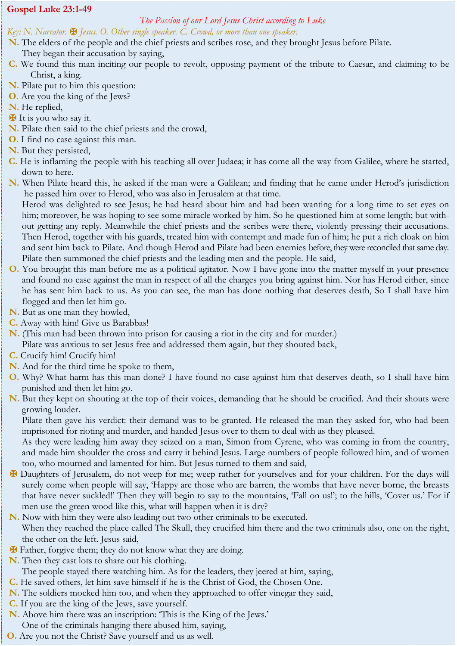#### **Gospel Luke 23:1-49**

#### *The Passion of our Lord Jesus Christ according to Luke*

#### *Key: N. Narrator.* ✠ *Jesus. O. Other single speaker. C. Crowd, or more than one speaker.*

- **N.** The elders of the people and the chief priests and scribes rose, and they brought Jesus before Pilate.
- They began their accusation by saying,
- **C.** We found this man inciting our people to revolt, opposing payment of the tribute to Caesar, and claiming to be Christ, a king.
- **N.** Pilate put to him this question:
- **O.** Are you the king of the Jews?
- **N.** He replied,
- ✠ It is you who say it.
- **N.** Pilate then said to the chief priests and the crowd,
- **O.** I find no case against this man.
- **N.** But they persisted,
- **C.** He is inflaming the people with his teaching all over Judaea; it has come all the way from Galilee, where he started, down to here.
- **N.** When Pilate heard this, he asked if the man were a Galilean; and finding that he came under Herod's jurisdiction he passed him over to Herod, who was also in Jerusalem at that time.
	- Herod was delighted to see Jesus; he had heard about him and had been wanting for a long time to set eyes on him; moreover, he was hoping to see some miracle worked by him. So he questioned him at some length; but without getting any reply. Meanwhile the chief priests and the scribes were there, violently pressing their accusations. Then Herod, together with his guards, treated him with contempt and made fun of him; he put a rich cloak on him and sent him back to Pilate. And though Herod and Pilate had been enemies before, they were reconciled that same day. Pilate then summoned the chief priests and the leading men and the people. He said,
- **O.** You brought this man before me as a political agitator. Now I have gone into the matter myself in your presence and found no case against the man in respect of all the charges you bring against him. Nor has Herod either, since he has sent him back to us. As you can see, the man has done nothing that deserves death, So I shall have him flogged and then let him go.
- **N.** But as one man they howled,
- **C.** Away with him! Give us Barabbas!
- **N.** (This man had been thrown into prison for causing a riot in the city and for murder.) Pilate was anxious to set Jesus free and addressed them again, but they shouted back,
- **C.** Crucify him! Crucify him!
- **N.** And for the third time he spoke to them,
- **O.** Why? What harm has this man done? I have found no case against him that deserves death, so I shall have him punished and then let him go.
- **N.** But they kept on shouting at the top of their voices, demanding that he should be crucified. And their shouts were growing louder.

Pilate then gave his verdict: their demand was to be granted. He released the man they asked for, who had been imprisoned for rioting and murder, and handed Jesus over to them to deal with as they pleased.

As they were leading him away they seized on a man, Simon from Cyrene, who was coming in from the country, and made him shoulder the cross and carry it behind Jesus. Large numbers of people followed him, and of women too, who mourned and lamented for him. But Jesus turned to them and said,

- ✠ Daughters of Jerusalem, do not weep for me; weep rather for yourselves and for your children. For the days will surely come when people will say, 'Happy are those who are barren, the wombs that have never borne, the breasts that have never suckled!' Then they will begin to say to the mountains, 'Fall on us!'; to the hills, 'Cover us.' For if men use the green wood like this, what will happen when it is dry?
- **N.** Now with him they were also leading out two other criminals to be executed. When they reached the place called The Skull, they crucified him there and the two criminals also, one on the right, the other on the left. Jesus said,
- ✠ Father, forgive them; they do not know what they are doing.
- **N.** Then they cast lots to share out his clothing.
	- The people stayed there watching him. As for the leaders, they jeered at him, saying,
- **C.** He saved others, let him save himself if he is the Christ of God, the Chosen One.
- **N.** The soldiers mocked him too, and when they approached to offer vinegar they said,
- **C.** If you are the king of the Jews, save yourself.
- **N.** Above him there was an inscription: 'This is the King of the Jews.' One of the criminals hanging there abused him, saying,
- **O.** Are you not the Christ? Save yourself and us as well.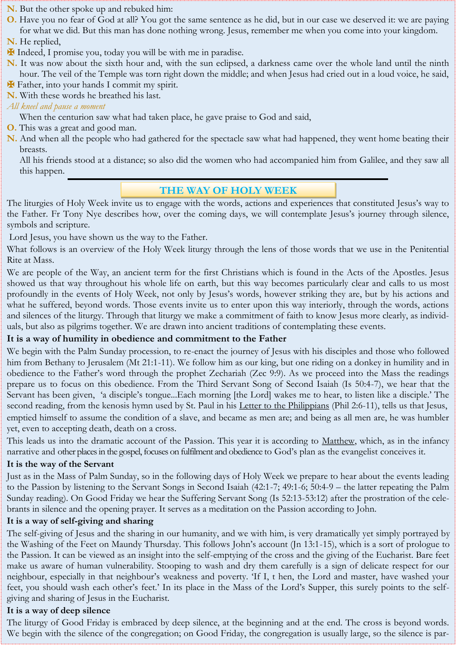# **N.** But the other spoke up and rebuked him:

- **O.** Have you no fear of God at all? You got the same sentence as he did, but in our case we deserved it: we are paying for what we did. But this man has done nothing wrong. Jesus, remember me when you come into your kingdom.
- **N.** He replied,
- ✠ Indeed, I promise you, today you will be with me in paradise.
- **N.** It was now about the sixth hour and, with the sun eclipsed, a darkness came over the whole land until the ninth hour. The veil of the Temple was torn right down the middle; and when Jesus had cried out in a loud voice, he said,
- ✠ Father, into your hands I commit my spirit.
- **N.** With these words he breathed his last.
- *All kneel and pause a moment*
	- When the centurion saw what had taken place, he gave praise to God and said,
- **O.** This was a great and good man.
- **N.** And when all the people who had gathered for the spectacle saw what had happened, they went home beating their breasts.

All his friends stood at a distance; so also did the women who had accompanied him from Galilee, and they saw all this happen.

## **THE WAY OF HOLY WEEK**

The liturgies of Holy Week invite us to engage with the words, actions and experiences that constituted Jesus's way to the Father. Fr Tony Nye describes how, over the coming days, we will contemplate Jesus's journey through silence, symbols and scripture.

Lord Jesus, you have shown us the way to the Father.

What follows is an overview of the Holy Week liturgy through the lens of those words that we use in the Penitential Rite at Mass.

We are people of the Way, an ancient term for the first Christians which is found in the Acts of the Apostles. Jesus showed us that way throughout his whole life on earth, but this way becomes particularly clear and calls to us most profoundly in the events of Holy Week, not only by Jesus's words, however striking they are, but by his actions and what he suffered, beyond words. Those events invite us to enter upon this way interiorly, through the words, actions and silences of the liturgy. Through that liturgy we make a commitment of faith to know Jesus more clearly, as individuals, but also as pilgrims together. We are drawn into ancient traditions of contemplating these events.

#### **It is a way of humility in obedience and commitment to the Father**

We begin with the Palm Sunday procession, to re-enact the journey of Jesus with his disciples and those who followed him from Bethany to Jerusalem (Mt 21:1-11). We follow him as our king, but one riding on a donkey in humility and in obedience to the Father's word through the prophet Zechariah (Zec 9:9). As we proceed into the Mass the readings prepare us to focus on this obedience. From the Third Servant Song of Second Isaiah (Is 50:4-7), we hear that the Servant has been given, 'a disciple's tongue...Each morning [the Lord] wakes me to hear, to listen like a disciple.' The second reading, from the kenosis hymn used by St. Paul in his [Letter to the Philippians](https://www.thinkingfaith.org/articles/20090302_2.htm) (Phil 2:6-11), tells us that Jesus, emptied himself to assume the condition of a slave, and became as men are; and being as all men are, he was humbler yet, even to accepting death, death on a cross.

This leads us into the dramatic account of the Passion. This year it is according to [Matthew,](https://www.thinkingfaith.org/articles/20090922_1.htm) which, as in the infancy narrative and other places in the gospel, focuses on fulfilment and obedience to God's plan as the evangelist conceives it.

#### **It is the way of the Servant**

Just as in the Mass of Palm Sunday, so in the following days of Holy Week we prepare to hear about the events leading to the Passion by listening to the Servant Songs in Second Isaiah (42:1-7; 49:1-6; 50:4-9 – the latter repeating the Palm Sunday reading). On Good Friday we hear the Suffering Servant Song (Is 52:13-53:12) after the prostration of the celebrants in silence and the opening prayer. It serves as a meditation on the Passion according to John.

#### **It is a way of self-giving and sharing**

The self-giving of Jesus and the sharing in our humanity, and we with him, is very dramatically yet simply portrayed by the Washing of the Feet on Maundy Thursday. This follows John's account (Jn 13:1-15), which is a sort of prologue to the Passion. It can be viewed as an insight into the self-emptying of the cross and the giving of the Eucharist. Bare feet make us aware of human vulnerability. Stooping to wash and dry them carefully is a sign of delicate respect for our neighbour, especially in that neighbour's weakness and poverty. 'If I, t hen, the Lord and master, have washed your feet, you should wash each other's feet.' In its place in the Mass of the Lord's Supper, this surely points to the selfgiving and sharing of Jesus in the Eucharist.

#### **It is a way of deep silence**

The liturgy of Good Friday is embraced by deep silence, at the beginning and at the end. The cross is beyond words. We begin with the silence of the congregation; on Good Friday, the congregation is usually large, so the silence is par-